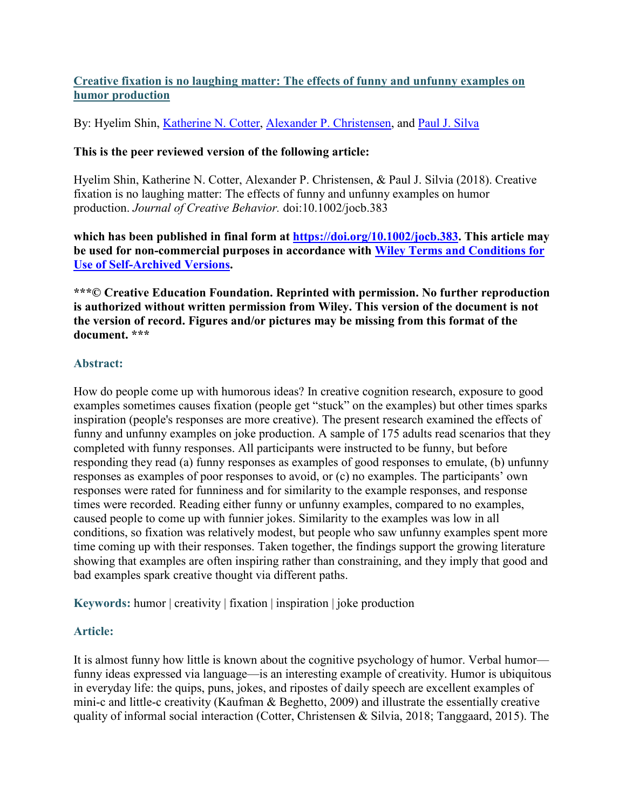# **Creative fixation is no laughing matter: The effects of funny and unfunny examples on humor production**

By: Hyelim Shin, [Katherine N. Cotter,](http://libres.uncg.edu/ir/uncg/clist.aspx?id=14079) [Alexander P. Christensen,](http://libres.uncg.edu/ir/uncg/clist.aspx?id=14329) and [Paul J. Silva](https://libres.uncg.edu/ir/uncg/clist.aspx?id=402)

#### **This is the peer reviewed version of the following article:**

Hyelim Shin, Katherine N. Cotter, Alexander P. Christensen, & Paul J. Silvia (2018). Creative fixation is no laughing matter: The effects of funny and unfunny examples on humor production. *Journal of Creative Behavior.* doi:10.1002/jocb.383

**which has been published in final form at [https://doi.org/10.1002/jocb.383.](https://doi.org/10.1002/jocb.383) This article may be used for non-commercial purposes in accordance with [Wiley Terms and Conditions for](https://authorservices.wiley.com/author-resources/Journal-Authors/licensing/self-archiving.html#3)  [Use of Self-Archived Versions.](https://authorservices.wiley.com/author-resources/Journal-Authors/licensing/self-archiving.html#3)**

**\*\*\*© Creative Education Foundation. Reprinted with permission. No further reproduction is authorized without written permission from Wiley. This version of the document is not the version of record. Figures and/or pictures may be missing from this format of the document. \*\*\***

#### **Abstract:**

How do people come up with humorous ideas? In creative cognition research, exposure to good examples sometimes causes fixation (people get "stuck" on the examples) but other times sparks inspiration (people's responses are more creative). The present research examined the effects of funny and unfunny examples on joke production. A sample of 175 adults read scenarios that they completed with funny responses. All participants were instructed to be funny, but before responding they read (a) funny responses as examples of good responses to emulate, (b) unfunny responses as examples of poor responses to avoid, or (c) no examples. The participants' own responses were rated for funniness and for similarity to the example responses, and response times were recorded. Reading either funny or unfunny examples, compared to no examples, caused people to come up with funnier jokes. Similarity to the examples was low in all conditions, so fixation was relatively modest, but people who saw unfunny examples spent more time coming up with their responses. Taken together, the findings support the growing literature showing that examples are often inspiring rather than constraining, and they imply that good and bad examples spark creative thought via different paths.

**Keywords:** humor | creativity | fixation | inspiration | joke production

# **Article:**

It is almost funny how little is known about the cognitive psychology of humor. Verbal humor funny ideas expressed via language—is an interesting example of creativity. Humor is ubiquitous in everyday life: the quips, puns, jokes, and ripostes of daily speech are excellent examples of mini-c and little-c creativity (Kaufman & Beghetto, 2009) and illustrate the essentially creative quality of informal social interaction (Cotter, Christensen & Silvia, 2018; Tanggaard, 2015). The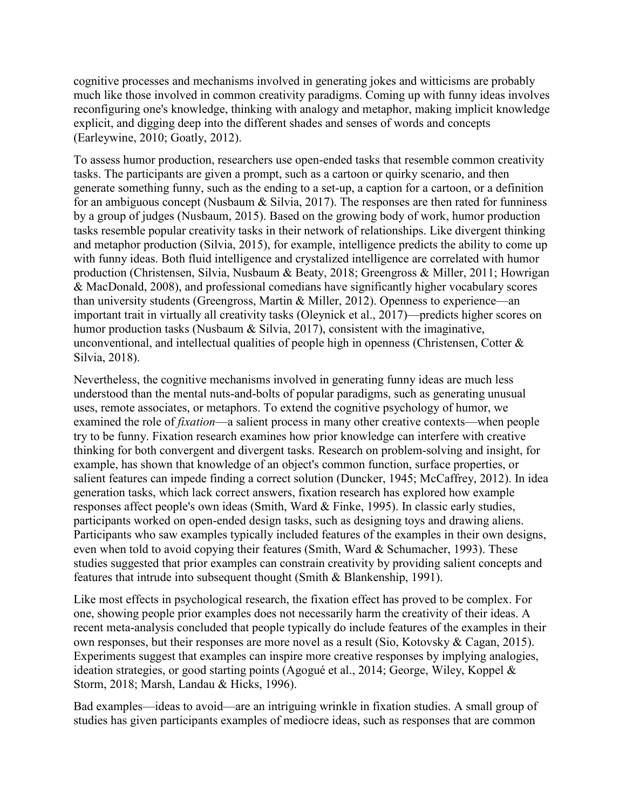cognitive processes and mechanisms involved in generating jokes and witticisms are probably much like those involved in common creativity paradigms. Coming up with funny ideas involves reconfiguring one's knowledge, thinking with analogy and metaphor, making implicit knowledge explicit, and digging deep into the different shades and senses of words and concepts (Earleywine, 2010; Goatly, 2012).

To assess humor production, researchers use open‐ended tasks that resemble common creativity tasks. The participants are given a prompt, such as a cartoon or quirky scenario, and then generate something funny, such as the ending to a set‐up, a caption for a cartoon, or a definition for an ambiguous concept (Nusbaum  $&$  Silvia, 2017). The responses are then rated for funniness by a group of judges (Nusbaum, 2015). Based on the growing body of work, humor production tasks resemble popular creativity tasks in their network of relationships. Like divergent thinking and metaphor production (Silvia, 2015), for example, intelligence predicts the ability to come up with funny ideas. Both fluid intelligence and crystalized intelligence are correlated with humor production (Christensen, Silvia, Nusbaum & Beaty, 2018; Greengross & Miller, 2011; Howrigan & MacDonald, 2008), and professional comedians have significantly higher vocabulary scores than university students (Greengross, Martin & Miller, 2012). Openness to experience—an important trait in virtually all creativity tasks (Oleynick et al., 2017)—predicts higher scores on humor production tasks (Nusbaum & Silvia, 2017), consistent with the imaginative, unconventional, and intellectual qualities of people high in openness (Christensen, Cotter & Silvia, 2018).

Nevertheless, the cognitive mechanisms involved in generating funny ideas are much less understood than the mental nuts-and-bolts of popular paradigms, such as generating unusual uses, remote associates, or metaphors. To extend the cognitive psychology of humor, we examined the role of *fixation*—a salient process in many other creative contexts—when people try to be funny. Fixation research examines how prior knowledge can interfere with creative thinking for both convergent and divergent tasks. Research on problem‐solving and insight, for example, has shown that knowledge of an object's common function, surface properties, or salient features can impede finding a correct solution (Duncker, 1945; McCaffrey, 2012). In idea generation tasks, which lack correct answers, fixation research has explored how example responses affect people's own ideas (Smith, Ward & Finke, 1995). In classic early studies, participants worked on open-ended design tasks, such as designing toys and drawing aliens. Participants who saw examples typically included features of the examples in their own designs, even when told to avoid copying their features (Smith, Ward & Schumacher, 1993). These studies suggested that prior examples can constrain creativity by providing salient concepts and features that intrude into subsequent thought (Smith & Blankenship, 1991).

Like most effects in psychological research, the fixation effect has proved to be complex. For one, showing people prior examples does not necessarily harm the creativity of their ideas. A recent meta-analysis concluded that people typically do include features of the examples in their own responses, but their responses are more novel as a result (Sio, Kotovsky & Cagan, 2015). Experiments suggest that examples can inspire more creative responses by implying analogies, ideation strategies, or good starting points (Agogué et al., 2014; George, Wiley, Koppel & Storm, 2018; Marsh, Landau & Hicks, 1996).

Bad examples—ideas to avoid—are an intriguing wrinkle in fixation studies. A small group of studies has given participants examples of mediocre ideas, such as responses that are common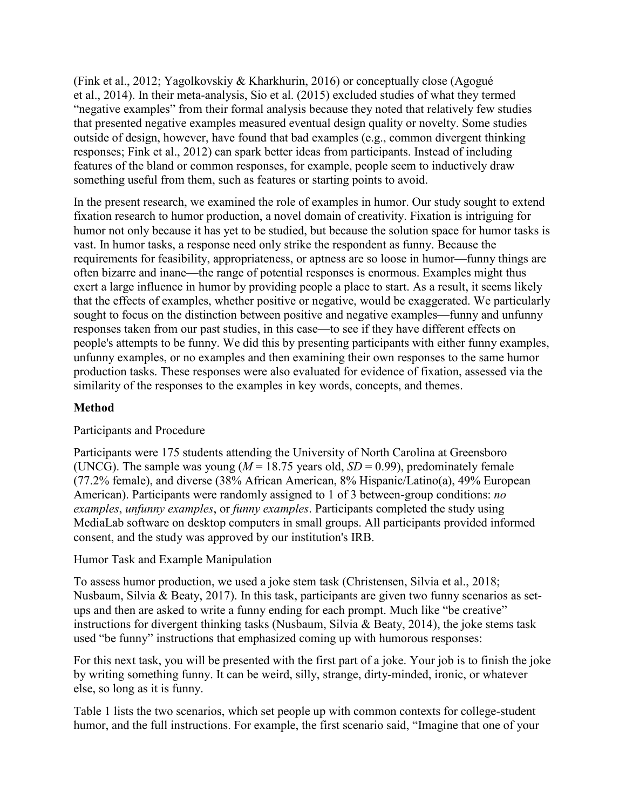(Fink et al., 2012; Yagolkovskiy & Kharkhurin, 2016) or conceptually close (Agogué et al., 2014). In their meta‐analysis, Sio et al. (2015) excluded studies of what they termed "negative examples" from their formal analysis because they noted that relatively few studies that presented negative examples measured eventual design quality or novelty. Some studies outside of design, however, have found that bad examples (e.g., common divergent thinking responses; Fink et al., 2012) can spark better ideas from participants. Instead of including features of the bland or common responses, for example, people seem to inductively draw something useful from them, such as features or starting points to avoid.

In the present research, we examined the role of examples in humor. Our study sought to extend fixation research to humor production, a novel domain of creativity. Fixation is intriguing for humor not only because it has yet to be studied, but because the solution space for humor tasks is vast. In humor tasks, a response need only strike the respondent as funny. Because the requirements for feasibility, appropriateness, or aptness are so loose in humor—funny things are often bizarre and inane—the range of potential responses is enormous. Examples might thus exert a large influence in humor by providing people a place to start. As a result, it seems likely that the effects of examples, whether positive or negative, would be exaggerated. We particularly sought to focus on the distinction between positive and negative examples—funny and unfunny responses taken from our past studies, in this case—to see if they have different effects on people's attempts to be funny. We did this by presenting participants with either funny examples, unfunny examples, or no examples and then examining their own responses to the same humor production tasks. These responses were also evaluated for evidence of fixation, assessed via the similarity of the responses to the examples in key words, concepts, and themes.

# **Method**

# Participants and Procedure

Participants were 175 students attending the University of North Carolina at Greensboro (UNCG). The sample was young  $(M = 18.75$  years old,  $SD = 0.99$ ), predominately female (77.2% female), and diverse (38% African American, 8% Hispanic/Latino(a), 49% European American). Participants were randomly assigned to 1 of 3 between‐group conditions: *no examples*, *unfunny examples*, or *funny examples*. Participants completed the study using MediaLab software on desktop computers in small groups. All participants provided informed consent, and the study was approved by our institution's IRB.

Humor Task and Example Manipulation

To assess humor production, we used a joke stem task (Christensen, Silvia et al., 2018; Nusbaum, Silvia & Beaty, 2017). In this task, participants are given two funny scenarios as set‐ ups and then are asked to write a funny ending for each prompt. Much like "be creative" instructions for divergent thinking tasks (Nusbaum, Silvia & Beaty, 2014), the joke stems task used "be funny" instructions that emphasized coming up with humorous responses:

For this next task, you will be presented with the first part of a joke. Your job is to finish the joke by writing something funny. It can be weird, silly, strange, dirty-minded, ironic, or whatever else, so long as it is funny.

Table 1 lists the two scenarios, which set people up with common contexts for college-student humor, and the full instructions. For example, the first scenario said, "Imagine that one of your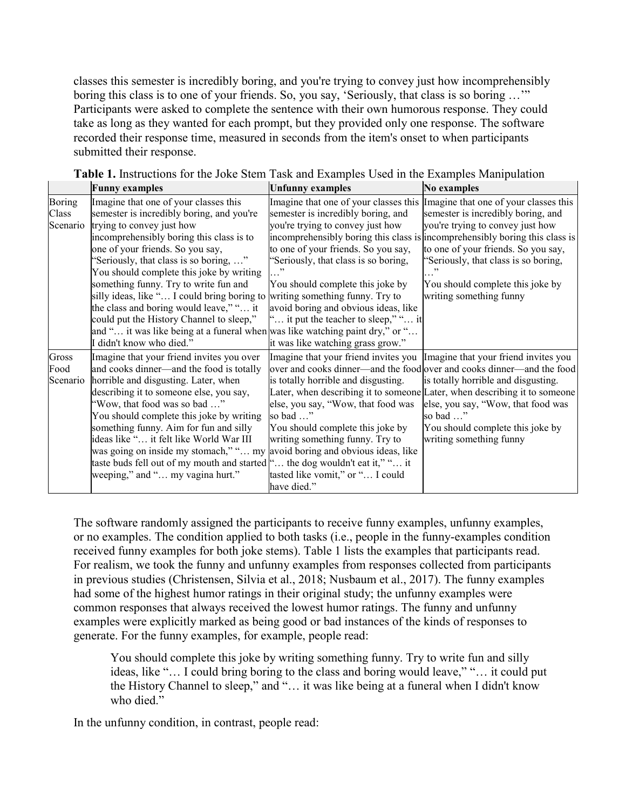classes this semester is incredibly boring, and you're trying to convey just how incomprehensibly boring this class is to one of your friends. So, you say, 'Seriously, that class is so boring ..." Participants were asked to complete the sentence with their own humorous response. They could take as long as they wanted for each prompt, but they provided only one response. The software recorded their response time, measured in seconds from the item's onset to when participants submitted their response.

|          | <b>Funny examples</b>                                                                | <b>Unfunny examples</b>                                                     | <b>No examples</b>                                                        |
|----------|--------------------------------------------------------------------------------------|-----------------------------------------------------------------------------|---------------------------------------------------------------------------|
| Boring   | Imagine that one of your classes this                                                | Imagine that one of your classes this                                       | Imagine that one of your classes this                                     |
| Class    | semester is incredibly boring, and you're                                            | semester is incredibly boring, and                                          | semester is incredibly boring, and                                        |
| Scenario | trying to convey just how                                                            | you're trying to convey just how                                            | you're trying to convey just how                                          |
|          | incomprehensibly boring this class is to                                             | incomprehensibly boring this class is incomprehensibly boring this class is |                                                                           |
|          | one of your friends. So you say,                                                     | to one of your friends. So you say,                                         | to one of your friends. So you say,                                       |
|          | 'Seriously, that class is so boring, "                                               | "Seriously, that class is so boring,                                        | "Seriously, that class is so boring,                                      |
|          | You should complete this joke by writing                                             |                                                                             |                                                                           |
|          | something funny. Try to write fun and                                                | You should complete this joke by                                            | You should complete this joke by                                          |
|          | silly ideas, like " I could bring boring to writing something funny. Try to          |                                                                             | writing something funny                                                   |
|          | the class and boring would leave," " it                                              | avoid boring and obvious ideas, like                                        |                                                                           |
|          | could put the History Channel to sleep,"                                             | " it put the teacher to sleep," " it                                        |                                                                           |
|          | and " it was like being at a funeral when was like watching paint dry," or "         |                                                                             |                                                                           |
|          | I didn't know who died."                                                             | it was like watching grass grow."                                           |                                                                           |
| Gross    | Imagine that your friend invites you over                                            | Imagine that your friend invites you Imagine that your friend invites you   |                                                                           |
| Food     | and cooks dinner—and the food is totally                                             |                                                                             | over and cooks dinner—and the food over and cooks dinner—and the food     |
| Scenario | horrible and disgusting. Later, when                                                 | is totally horrible and disgusting.                                         | is totally horrible and disgusting.                                       |
|          | describing it to someone else, you say,                                              |                                                                             | Later, when describing it to someone Later, when describing it to someone |
|          | "Wow, that food was so bad "                                                         | else, you say, "Wow, that food was                                          | else, you say, "Wow, that food was                                        |
|          | You should complete this joke by writing                                             | so bad "                                                                    | so bad "                                                                  |
|          | something funny. Aim for fun and silly                                               | You should complete this joke by                                            | You should complete this joke by                                          |
|          | ideas like " it felt like World War III                                              | writing something funny. Try to                                             | writing something funny                                                   |
|          | was going on inside my stomach," " my avoid boring and obvious ideas, like           |                                                                             |                                                                           |
|          | taste buds fell out of my mouth and started $\vert$ " the dog wouldn't eat it," " it |                                                                             |                                                                           |
|          | weeping," and " my vagina hurt."                                                     | tasted like vomit," or " I could                                            |                                                                           |
|          |                                                                                      | have died."                                                                 |                                                                           |

|  |  |  |  |  | <b>Table 1.</b> Instructions for the Joke Stem Task and Examples Used in the Examples Manipulation |  |  |
|--|--|--|--|--|----------------------------------------------------------------------------------------------------|--|--|
|--|--|--|--|--|----------------------------------------------------------------------------------------------------|--|--|

The software randomly assigned the participants to receive funny examples, unfunny examples, or no examples. The condition applied to both tasks (i.e., people in the funny‐examples condition received funny examples for both joke stems). Table 1 lists the examples that participants read. For realism, we took the funny and unfunny examples from responses collected from participants in previous studies (Christensen, Silvia et al., 2018; Nusbaum et al., 2017). The funny examples had some of the highest humor ratings in their original study; the unfunny examples were common responses that always received the lowest humor ratings. The funny and unfunny examples were explicitly marked as being good or bad instances of the kinds of responses to generate. For the funny examples, for example, people read:

You should complete this joke by writing something funny. Try to write fun and silly ideas, like "… I could bring boring to the class and boring would leave," "… it could put the History Channel to sleep," and "… it was like being at a funeral when I didn't know who died."

In the unfunny condition, in contrast, people read: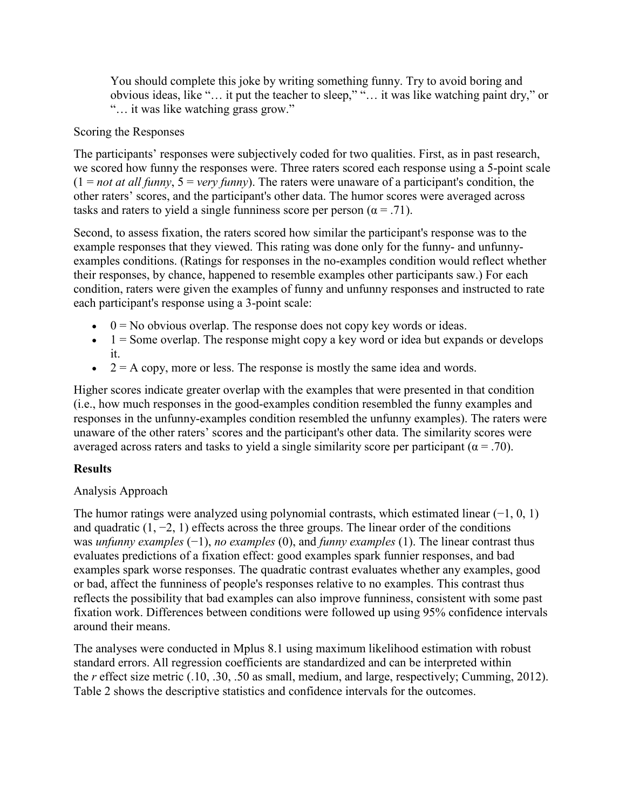You should complete this joke by writing something funny. Try to avoid boring and obvious ideas, like "… it put the teacher to sleep," "… it was like watching paint dry," or "… it was like watching grass grow."

# Scoring the Responses

The participants' responses were subjectively coded for two qualities. First, as in past research, we scored how funny the responses were. Three raters scored each response using a 5‐point scale  $(1 = not at all funny, 5 = very funny).$  The raters were unaware of a participant's condition, the other raters' scores, and the participant's other data. The humor scores were averaged across tasks and raters to yield a single funniness score per person ( $\alpha = .71$ ).

Second, to assess fixation, the raters scored how similar the participant's response was to the example responses that they viewed. This rating was done only for the funny- and unfunnyexamples conditions. (Ratings for responses in the no‐examples condition would reflect whether their responses, by chance, happened to resemble examples other participants saw.) For each condition, raters were given the examples of funny and unfunny responses and instructed to rate each participant's response using a 3‐point scale:

- $\bullet$  0 = No obvious overlap. The response does not copy key words or ideas.
- $\bullet$  1 = Some overlap. The response might copy a key word or idea but expands or develops it.
- $2 = A$  copy, more or less. The response is mostly the same idea and words.

Higher scores indicate greater overlap with the examples that were presented in that condition (i.e., how much responses in the good‐examples condition resembled the funny examples and responses in the unfunny‐examples condition resembled the unfunny examples). The raters were unaware of the other raters' scores and the participant's other data. The similarity scores were averaged across raters and tasks to yield a single similarity score per participant ( $\alpha = .70$ ).

# **Results**

# Analysis Approach

The humor ratings were analyzed using polynomial contrasts, which estimated linear  $(-1, 0, 1)$ and quadratic  $(1, -2, 1)$  effects across the three groups. The linear order of the conditions was *unfunny examples* (−1), *no examples* (0), and *funny examples* (1). The linear contrast thus evaluates predictions of a fixation effect: good examples spark funnier responses, and bad examples spark worse responses. The quadratic contrast evaluates whether any examples, good or bad, affect the funniness of people's responses relative to no examples. This contrast thus reflects the possibility that bad examples can also improve funniness, consistent with some past fixation work. Differences between conditions were followed up using 95% confidence intervals around their means.

The analyses were conducted in Mplus 8.1 using maximum likelihood estimation with robust standard errors. All regression coefficients are standardized and can be interpreted within the *r* effect size metric (.10, .30, .50 as small, medium, and large, respectively; Cumming, 2012). Table 2 shows the descriptive statistics and confidence intervals for the outcomes.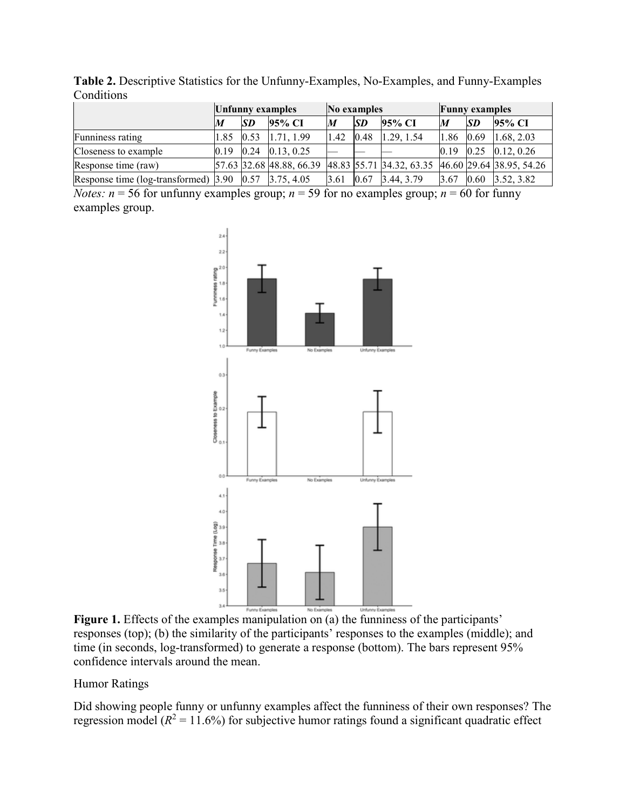|                                                                 | <b>Unfunny examples</b> |      | No examples                                                                |      |           | <b>Funny</b> examples |                  |           |                                |
|-----------------------------------------------------------------|-------------------------|------|----------------------------------------------------------------------------|------|-----------|-----------------------|------------------|-----------|--------------------------------|
|                                                                 | M                       | SD   | 95% CI                                                                     | M    | <b>SD</b> | 95% CI                | $\boldsymbol{M}$ | <b>SD</b> | 95% CI                         |
| Funniness rating                                                | 1.85                    |      | $\vert 0.53 \vert \vert 1.71, 1.99 \vert$                                  | 1.42 | 0.48      | [1.29, 1.54]          | 1.86             | 0.69      | 1.68, 2.03                     |
| Closeness to example                                            | 0.19                    | 0.24 | 0.13, 0.25                                                                 |      |           |                       | 0.19             |           | $0.25$ 0.12, 0.26              |
| Response time (raw)                                             |                         |      | 57.63 32.68 48.88, 66.39 48.83 55.71 34.32, 63.35 46.60 29.64 38.95, 54.26 |      |           |                       |                  |           |                                |
| Response time (log-transformed) $ 3.90 \t  0.57 \t  3.75, 4.05$ |                         |      |                                                                            | 3.61 | 0.67      | 3.44, 3.79            | 3.67             |           | $[0.60 \;   \; 3.52, \; 3.82]$ |

**Table 2.** Descriptive Statistics for the Unfunny‐Examples, No‐Examples, and Funny‐Examples **Conditions** 

*Notes:*  $n = 56$  for unfunny examples group;  $n = 59$  for no examples group;  $n = 60$  for funny examples group.



Figure 1. Effects of the examples manipulation on (a) the funniness of the participants' responses (top); (b) the similarity of the participants' responses to the examples (middle); and time (in seconds, log-transformed) to generate a response (bottom). The bars represent 95% confidence intervals around the mean.

#### Humor Ratings

Did showing people funny or unfunny examples affect the funniness of their own responses? The regression model ( $R^2 = 11.6\%$ ) for subjective humor ratings found a significant quadratic effect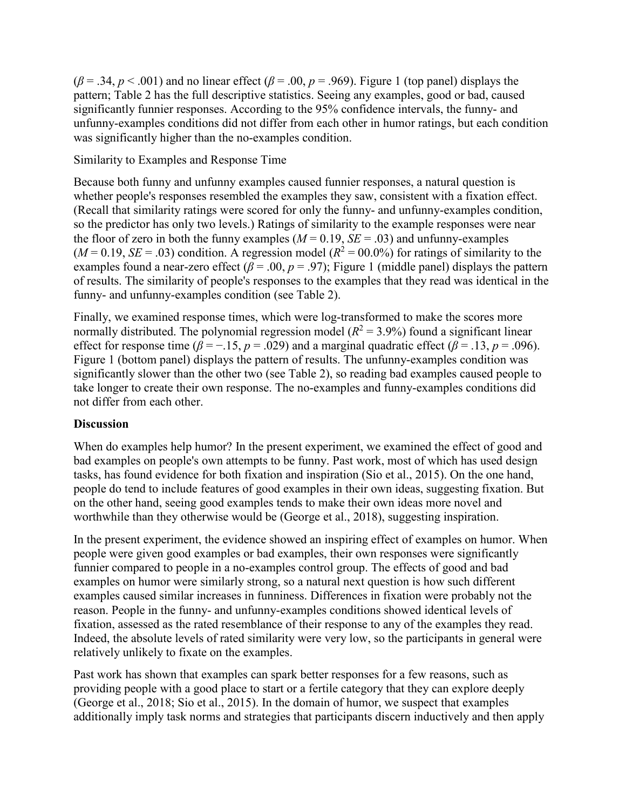$(\beta = .34, p < .001)$  and no linear effect ( $\beta = .00, p = .969$ ). Figure 1 (top panel) displays the pattern; Table 2 has the full descriptive statistics. Seeing any examples, good or bad, caused significantly funnier responses. According to the 95% confidence intervals, the funny- and unfunny‐examples conditions did not differ from each other in humor ratings, but each condition was significantly higher than the no-examples condition.

#### Similarity to Examples and Response Time

Because both funny and unfunny examples caused funnier responses, a natural question is whether people's responses resembled the examples they saw, consistent with a fixation effect. (Recall that similarity ratings were scored for only the funny‐ and unfunny‐examples condition, so the predictor has only two levels.) Ratings of similarity to the example responses were near the floor of zero in both the funny examples  $(M = 0.19, SE = .03)$  and unfunny-examples  $(M = 0.19, SE = .03)$  condition. A regression model  $(R^2 = 00.0\%)$  for ratings of similarity to the examples found a near-zero effect  $(\beta = .00, p = .97)$ ; Figure 1 (middle panel) displays the pattern of results. The similarity of people's responses to the examples that they read was identical in the funny‐ and unfunny‐examples condition (see Table 2).

Finally, we examined response times, which were log-transformed to make the scores more normally distributed. The polynomial regression model  $(R^2 = 3.9\%)$  found a significant linear effect for response time ( $\beta = -.15$ ,  $p = .029$ ) and a marginal quadratic effect ( $\beta = .13$ ,  $p = .096$ ). Figure 1 (bottom panel) displays the pattern of results. The unfunny-examples condition was significantly slower than the other two (see Table 2), so reading bad examples caused people to take longer to create their own response. The no‐examples and funny‐examples conditions did not differ from each other.

#### **Discussion**

When do examples help humor? In the present experiment, we examined the effect of good and bad examples on people's own attempts to be funny. Past work, most of which has used design tasks, has found evidence for both fixation and inspiration (Sio et al., 2015). On the one hand, people do tend to include features of good examples in their own ideas, suggesting fixation. But on the other hand, seeing good examples tends to make their own ideas more novel and worthwhile than they otherwise would be (George et al., 2018), suggesting inspiration.

In the present experiment, the evidence showed an inspiring effect of examples on humor. When people were given good examples or bad examples, their own responses were significantly funnier compared to people in a no-examples control group. The effects of good and bad examples on humor were similarly strong, so a natural next question is how such different examples caused similar increases in funniness. Differences in fixation were probably not the reason. People in the funny‐ and unfunny‐examples conditions showed identical levels of fixation, assessed as the rated resemblance of their response to any of the examples they read. Indeed, the absolute levels of rated similarity were very low, so the participants in general were relatively unlikely to fixate on the examples.

Past work has shown that examples can spark better responses for a few reasons, such as providing people with a good place to start or a fertile category that they can explore deeply (George et al., 2018; Sio et al., 2015). In the domain of humor, we suspect that examples additionally imply task norms and strategies that participants discern inductively and then apply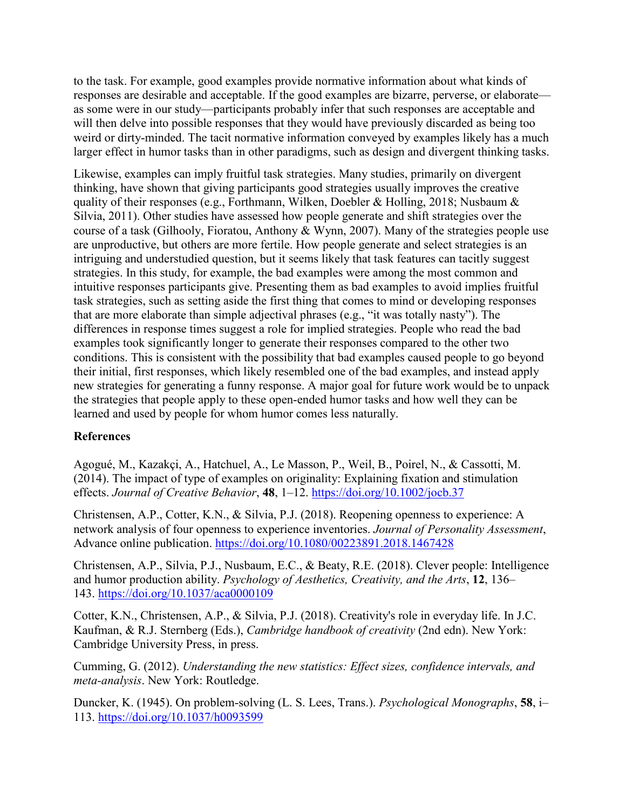to the task. For example, good examples provide normative information about what kinds of responses are desirable and acceptable. If the good examples are bizarre, perverse, or elaborate as some were in our study—participants probably infer that such responses are acceptable and will then delve into possible responses that they would have previously discarded as being too weird or dirty-minded. The tacit normative information conveyed by examples likely has a much larger effect in humor tasks than in other paradigms, such as design and divergent thinking tasks.

Likewise, examples can imply fruitful task strategies. Many studies, primarily on divergent thinking, have shown that giving participants good strategies usually improves the creative quality of their responses (e.g., Forthmann, Wilken, Doebler & Holling, 2018; Nusbaum & Silvia, 2011). Other studies have assessed how people generate and shift strategies over the course of a task (Gilhooly, Fioratou, Anthony & Wynn, 2007). Many of the strategies people use are unproductive, but others are more fertile. How people generate and select strategies is an intriguing and understudied question, but it seems likely that task features can tacitly suggest strategies. In this study, for example, the bad examples were among the most common and intuitive responses participants give. Presenting them as bad examples to avoid implies fruitful task strategies, such as setting aside the first thing that comes to mind or developing responses that are more elaborate than simple adjectival phrases (e.g., "it was totally nasty"). The differences in response times suggest a role for implied strategies. People who read the bad examples took significantly longer to generate their responses compared to the other two conditions. This is consistent with the possibility that bad examples caused people to go beyond their initial, first responses, which likely resembled one of the bad examples, and instead apply new strategies for generating a funny response. A major goal for future work would be to unpack the strategies that people apply to these open‐ended humor tasks and how well they can be learned and used by people for whom humor comes less naturally.

# **References**

Agogué, M., Kazakçi, A., Hatchuel, A., Le Masson, P., Weil, B., Poirel, N., & Cassotti, M. (2014). The impact of type of examples on originality: Explaining fixation and stimulation effects. *Journal of Creative Behavior*, **48**, 1–12. <https://doi.org/10.1002/jocb.37>

Christensen, A.P., Cotter, K.N., & Silvia, P.J. (2018). Reopening openness to experience: A network analysis of four openness to experience inventories. *Journal of Personality Assessment*, Advance online publication. <https://doi.org/10.1080/00223891.2018.1467428>

Christensen, A.P., Silvia, P.J., Nusbaum, E.C., & Beaty, R.E. (2018). Clever people: Intelligence and humor production ability. *Psychology of Aesthetics, Creativity, and the Arts*, **12**, 136– 143. <https://doi.org/10.1037/aca0000109>

Cotter, K.N., Christensen, A.P., & Silvia, P.J. (2018). Creativity's role in everyday life. In J.C. Kaufman, & R.J. Sternberg (Eds.), *Cambridge handbook of creativity* (2nd edn). New York: Cambridge University Press, in press.

Cumming, G. (2012). *Understanding the new statistics: Effect sizes, confidence intervals, and meta‐analysis*. New York: Routledge.

Duncker, K. (1945). On problem‐solving (L. S. Lees, Trans.). *Psychological Monographs*, **58**, i– 113. <https://doi.org/10.1037/h0093599>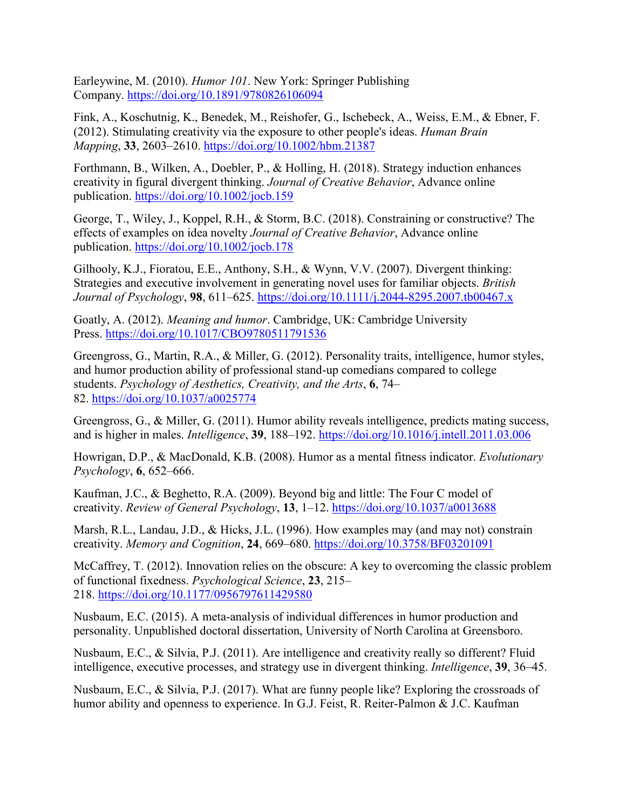Earleywine, M. (2010). *Humor 101*. New York: Springer Publishing Company. <https://doi.org/10.1891/9780826106094>

Fink, A., Koschutnig, K., Benedek, M., Reishofer, G., Ischebeck, A., Weiss, E.M., & Ebner, F. (2012). Stimulating creativity via the exposure to other people's ideas. *Human Brain Mapping*, **33**, 2603–2610. <https://doi.org/10.1002/hbm.21387>

Forthmann, B., Wilken, A., Doebler, P., & Holling, H. (2018). Strategy induction enhances creativity in figural divergent thinking. *Journal of Creative Behavior*, Advance online publication. <https://doi.org/10.1002/jocb.159>

George, T., Wiley, J., Koppel, R.H., & Storm, B.C. (2018). Constraining or constructive? The effects of examples on idea novelty *Journal of Creative Behavior*, Advance online publication. <https://doi.org/10.1002/jocb.178>

Gilhooly, K.J., Fioratou, E.E., Anthony, S.H., & Wynn, V.V. (2007). Divergent thinking: Strategies and executive involvement in generating novel uses for familiar objects. *British Journal of Psychology*, **98**, 611–625. <https://doi.org/10.1111/j.2044-8295.2007.tb00467.x>

Goatly, A. (2012). *Meaning and humor*. Cambridge, UK: Cambridge University Press. <https://doi.org/10.1017/CBO9780511791536>

Greengross, G., Martin, R.A., & Miller, G. (2012). Personality traits, intelligence, humor styles, and humor production ability of professional stand‐up comedians compared to college students. *Psychology of Aesthetics, Creativity, and the Arts*, **6**, 74– 82. <https://doi.org/10.1037/a0025774>

Greengross, G., & Miller, G. (2011). Humor ability reveals intelligence, predicts mating success, and is higher in males. *Intelligence*, **39**, 188–192. <https://doi.org/10.1016/j.intell.2011.03.006>

Howrigan, D.P., & MacDonald, K.B. (2008). Humor as a mental fitness indicator. *Evolutionary Psychology*, **6**, 652–666.

Kaufman, J.C., & Beghetto, R.A. (2009). Beyond big and little: The Four C model of creativity. *Review of General Psychology*, **13**, 1–12. <https://doi.org/10.1037/a0013688>

Marsh, R.L., Landau, J.D., & Hicks, J.L. (1996). How examples may (and may not) constrain creativity. *Memory and Cognition*, **24**, 669–680. <https://doi.org/10.3758/BF03201091>

McCaffrey, T. (2012). Innovation relies on the obscure: A key to overcoming the classic problem of functional fixedness. *Psychological Science*, **23**, 215– 218. <https://doi.org/10.1177/0956797611429580>

Nusbaum, E.C. (2015). A meta‐analysis of individual differences in humor production and personality. Unpublished doctoral dissertation, University of North Carolina at Greensboro.

Nusbaum, E.C., & Silvia, P.J. (2011). Are intelligence and creativity really so different? Fluid intelligence, executive processes, and strategy use in divergent thinking. *Intelligence*, **39**, 36–45.

Nusbaum, E.C., & Silvia, P.J. (2017). What are funny people like? Exploring the crossroads of humor ability and openness to experience. In G.J. Feist, R. Reiter-Palmon & J.C. Kaufman